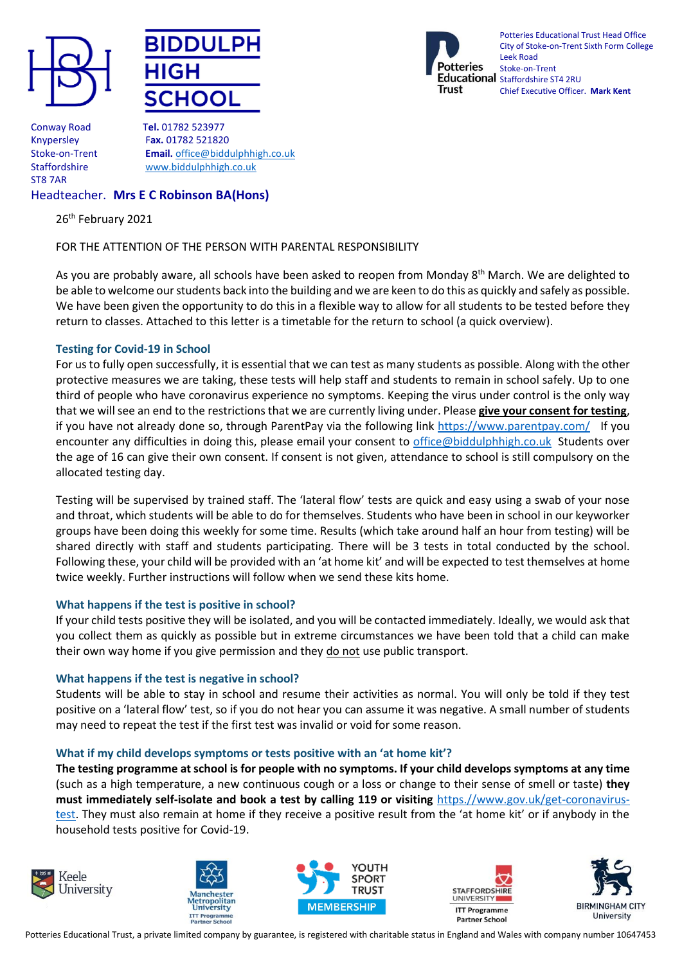





Potteries Educational Trust Head Office City of Stoke-on-Trent Sixth Form College Leek Road Stoke-on-Trent Educational staffordshire ST4 2RU Chief Executive Officer. **Mark Kent**

Conway Road T**el.** 01782 523977 ST8 7AR

Knypersley F**ax.** 01782 521820 Stoke-on-Trent **Email.** [office@biddulphhigh.co.uk](mailto:office@biddulphhigh.co.uk) Staffordshire [www.biddulphhigh.co.uk](http://www.biddulphhigh.co.uk/) 

# Headteacher. **Mrs E C Robinson BA(Hons)**

26<sup>th</sup> February 2021

## FOR THE ATTENTION OF THE PERSON WITH PARENTAL RESPONSIBILITY

As you are probably aware, all schools have been asked to reopen from Monday 8<sup>th</sup> March. We are delighted to be able to welcome our students back into the building and we are keen to do this as quickly and safely as possible. We have been given the opportunity to do this in a flexible way to allow for all students to be tested before they return to classes. Attached to this letter is a timetable for the return to school (a quick overview).

## **Testing for Covid-19 in School**

For us to fully open successfully, it is essential that we can test as many students as possible. Along with the other protective measures we are taking, these tests will help staff and students to remain in school safely. Up to one third of people who have coronavirus experience no symptoms. Keeping the virus under control is the only way that we will see an end to the restrictions that we are currently living under. Please **give your consent for testing**, if you have not already done so, through ParentPay via the following link <https://www.parentpay.com/>If you encounter any difficulties in doing this, please email your consent to [office@biddulphhigh.co.uk](mailto:office@biddulphhigh.co.uk) Students over the age of 16 can give their own consent. If consent is not given, attendance to school is still compulsory on the allocated testing day.

Testing will be supervised by trained staff. The 'lateral flow' tests are quick and easy using a swab of your nose and throat, which students will be able to do for themselves. Students who have been in school in our keyworker groups have been doing this weekly for some time. Results (which take around half an hour from testing) will be shared directly with staff and students participating. There will be 3 tests in total conducted by the school. Following these, your child will be provided with an 'at home kit' and will be expected to test themselves at home twice weekly. Further instructions will follow when we send these kits home.

## **What happens if the test is positive in school?**

If your child tests positive they will be isolated, and you will be contacted immediately. Ideally, we would ask that you collect them as quickly as possible but in extreme circumstances we have been told that a child can make their own way home if you give permission and they do not use public transport.

#### **What happens if the test is negative in school?**

Students will be able to stay in school and resume their activities as normal. You will only be told if they test positive on a 'lateral flow' test, so if you do not hear you can assume it was negative. A small number of students may need to repeat the test if the first test was invalid or void for some reason.

#### **What if my child develops symptoms or tests positive with an 'at home kit'?**

**The testing programme at school is for people with no symptoms. If your child develops symptoms at any time** (such as a high temperature, a new continuous cough or a loss or change to their sense of smell or taste) **they must immediately self-isolate and book a test by calling 119 or visiting** [https.//www.gov.uk/get-coronavirus](https://www.gov.uk/get-coronavirus-test)[test](https://www.gov.uk/get-coronavirus-test). They must also remain at home if they receive a positive result from the 'at home kit' or if anybody in the household tests positive for Covid-19.









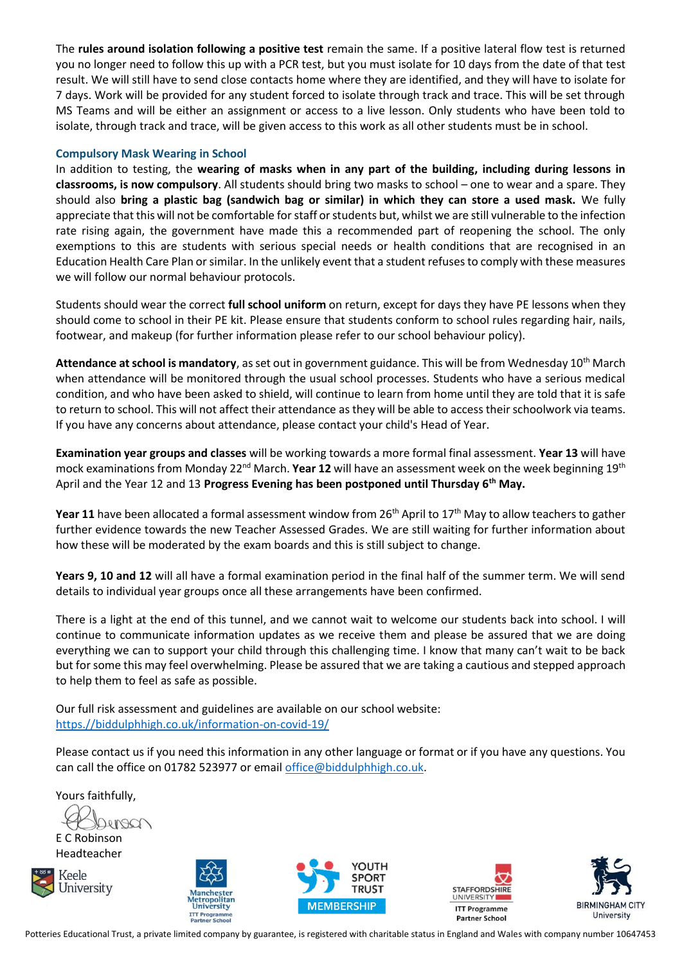The **rules around isolation following a positive test** remain the same. If a positive lateral flow test is returned you no longer need to follow this up with a PCR test, but you must isolate for 10 days from the date of that test result. We will still have to send close contacts home where they are identified, and they will have to isolate for 7 days. Work will be provided for any student forced to isolate through track and trace. This will be set through MS Teams and will be either an assignment or access to a live lesson. Only students who have been told to isolate, through track and trace, will be given access to this work as all other students must be in school.

## **Compulsory Mask Wearing in School**

In addition to testing, the **wearing of masks when in any part of the building, including during lessons in classrooms, is now compulsory**. All students should bring two masks to school – one to wear and a spare. They should also **bring a plastic bag (sandwich bag or similar) in which they can store a used mask.** We fully appreciate that this will not be comfortable forstaff or students but, whilst we are still vulnerable to the infection rate rising again, the government have made this a recommended part of reopening the school. The only exemptions to this are students with serious special needs or health conditions that are recognised in an Education Health Care Plan or similar. In the unlikely event that a student refuses to comply with these measures we will follow our normal behaviour protocols.

Students should wear the correct **full school uniform** on return, except for days they have PE lessons when they should come to school in their PE kit. Please ensure that students conform to school rules regarding hair, nails, footwear, and makeup (for further information please refer to our school behaviour policy).

**Attendance at school is mandatory**, as set out in government guidance. This will be from Wednesday 10th March when attendance will be monitored through the usual school processes. Students who have a serious medical condition, and who have been asked to shield, will continue to learn from home until they are told that it is safe to return to school. This will not affect their attendance as they will be able to access their schoolwork via teams. If you have any concerns about attendance, please contact your child's Head of Year.

**Examination year groups and classes** will be working towards a more formal final assessment. **Year 13** will have mock examinations from Monday 22<sup>nd</sup> March. **Year 12** will have an assessment week on the week beginning 19<sup>th</sup> April and the Year 12 and 13 **Progress Evening has been postponed until Thursday 6th May.** 

**Year 11** have been allocated a formal assessment window from 26<sup>th</sup> April to 17<sup>th</sup> May to allow teachers to gather further evidence towards the new Teacher Assessed Grades. We are still waiting for further information about how these will be moderated by the exam boards and this is still subject to change.

**Years 9, 10 and 12** will all have a formal examination period in the final half of the summer term. We will send details to individual year groups once all these arrangements have been confirmed.

There is a light at the end of this tunnel, and we cannot wait to welcome our students back into school. I will continue to communicate information updates as we receive them and please be assured that we are doing everything we can to support your child through this challenging time. I know that many can't wait to be back but for some this may feel overwhelming. Please be assured that we are taking a cautious and stepped approach to help them to feel as safe as possible.

Our full risk assessment and guidelines are available on our school website: [https.//biddulphhigh.co.uk/information-on-covid-19/](https://biddulphhigh.co.uk/information-on-covid-19/)

Please contact us if you need this information in any other language or format or if you have any questions. You can call the office on 01782 523977 or email [office@biddulphhigh.co.uk.](mailto:office@biddulphhigh.co.uk)

Yours faithfully,

E C Robinson

Headteacher











Potteries Educational Trust, a private limited company by guarantee, is registered with charitable status in England and Wales with company number 10647453